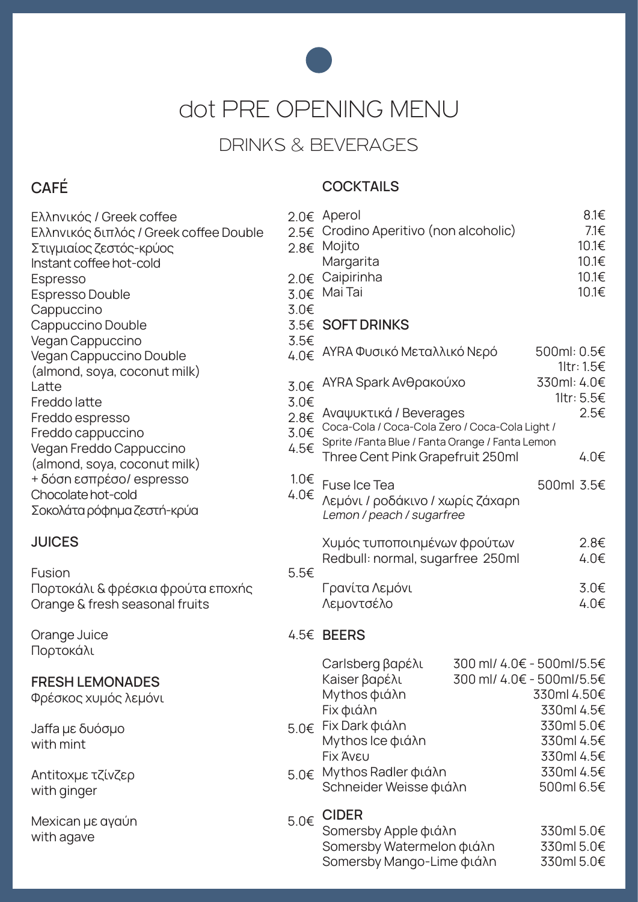

dot PRE OPENING MENU

## DRINKS & BEVERAGES

### CAFÉ

#### **COCKTAILS**

| Ελληνικός / Greek coffee<br>Ελληνικός διπλός / Greek coffee Double<br>Στιγμιαίος ζεστός-κρύος<br>Instant coffee hot-cold<br>Espresso<br>Espresso Double<br>Cappuccino<br>Cappuccino Double<br>Vegan Cappuccino | 3.0€                   | 2.0€ Aperol<br>2.5€ Crodino Aperitivo (non alcoholic)<br>2.8€ Mojito<br>Margarita<br>2.0€ Caipirinha<br>3.0€ Mai Tai |  | $8.1 \in$<br>7.1€<br>10.1€<br>10.1€<br>10.1€<br>10.1€                               |
|----------------------------------------------------------------------------------------------------------------------------------------------------------------------------------------------------------------|------------------------|----------------------------------------------------------------------------------------------------------------------|--|-------------------------------------------------------------------------------------|
|                                                                                                                                                                                                                | 3.5€                   | 3.5€ SOFT DRINKS                                                                                                     |  |                                                                                     |
| Vegan Cappuccino Double<br>(almond, soya, coconut milk)                                                                                                                                                        | $4.0 \in$              | ΑΥΡΑ Φυσικό Μεταλλικό Νερό                                                                                           |  | 500ml: 0.5€<br>1ltr: 1.5€                                                           |
| Latte<br>Freddo latte<br>Freddo espresso<br>Freddo cappuccino<br>Vegan Freddo Cappuccino<br>(almond, soya, coconut milk)<br>+ δόση εσπρέσο/ espresso<br>Chocolate hot-cold<br>Σοκολάτα ρόφημα ζεστή-κρύα       | 3.0€<br>3.0€           | AYRA Spark Ανθρακούχο                                                                                                |  | 330ml: 4.0€<br>1ltr: 5.5€                                                           |
|                                                                                                                                                                                                                | 2.8€<br>3.0€           | Aναψυκτικά / Beverages<br>Coca-Cola / Coca-Cola Zero / Coca-Cola Light /                                             |  | 2.5€                                                                                |
|                                                                                                                                                                                                                | 4.5€                   | Sprite /Fanta Blue / Fanta Orange / Fanta Lemon<br>Three Cent Pink Grapefruit 250ml                                  |  | $4.0 \in$                                                                           |
|                                                                                                                                                                                                                | $1.0 \in$<br>$4.0 \in$ | Fuse Ice Tea<br>Λεμόνι / ροδάκινο / χωρίς ζάχαρη<br>Lemon / peach / sugarfree                                        |  | 500ml 3.5€                                                                          |
| <b>JUICES</b>                                                                                                                                                                                                  |                        | Χυμός τυποποιημένων φρούτων<br>Redbull: normal, sugarfree 250ml                                                      |  | 2.8€<br>$4.0 \in$                                                                   |
| Fusion<br>Πορτοκάλι & φρέσκια φρούτα εποχής<br>Orange & fresh seasonal fruits                                                                                                                                  | 5.5€                   | Γρανίτα Λεμόνι<br>Λεμοντσέλο                                                                                         |  | 3.0 <sub>£</sub><br>$4.0 \in$                                                       |
| Orange Juice                                                                                                                                                                                                   |                        | 4.5€ BEERS                                                                                                           |  |                                                                                     |
| Πορτοκάλι<br><b>FRESH LEMONADES</b><br>Φρέσκος χυμός λεμόνι                                                                                                                                                    |                        | Carlsberg βαρέλι<br>Kaiser βαρέλι<br>Mythos φιάλη<br>Fix φιάλη                                                       |  | 300 ml/ 4.0€ - 500ml/5.5€<br>300 ml/ 4.0€ - 500ml/5.5€<br>330ml 4.50€<br>330ml 4.5€ |
| Jaffa με δυόσμο<br>with mint                                                                                                                                                                                   | 5.0€                   | Fix Dark φιάλη<br>Mythos Ice φιάλη<br><b>Fix Aveu</b>                                                                |  | 330ml 5.0€<br>330ml 4.5€<br>330ml 4.5€                                              |
| Antitoxμε τζίνζερ<br>with ginger                                                                                                                                                                               | 5.0€                   | Mythos Radler φιάλη<br>Schneider Weisse φιάλη                                                                        |  | 330ml 4.5€<br>500ml 6.5€                                                            |
| Mexican με αγαύη<br>with agave                                                                                                                                                                                 | $5.0 \in$              | <b>CIDER</b><br>Somersby Apple φιάλη<br>Somersby Watermelon φιάλη<br>Somersby Mango-Lime φιάλη                       |  | 330ml 5.0€<br>330ml 5.0€<br>330ml 5.0€                                              |